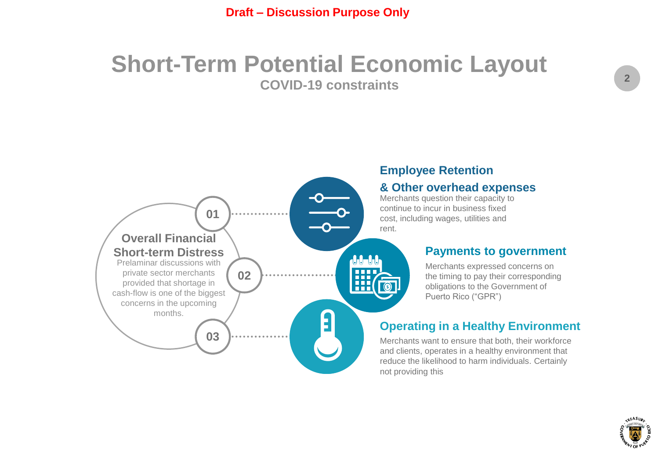## **Short-Term Potential Economic Layout COVID-19 constraints**



## **Employee Retention**

#### **& Other overhead expenses**

Merchants question their capacity to continue to incur in business fixed cost, including wages, utilities and

#### **Payments to government**

Merchants expressed concerns on the timing to pay their corresponding obligations to the Government of Puerto Rico ("GPR")

## **Operating in a Healthy Environment**

Merchants want to ensure that both, their workforce and clients, operates in a healthy environment that reduce the likelihood to harm individuals. Certainly not providing this

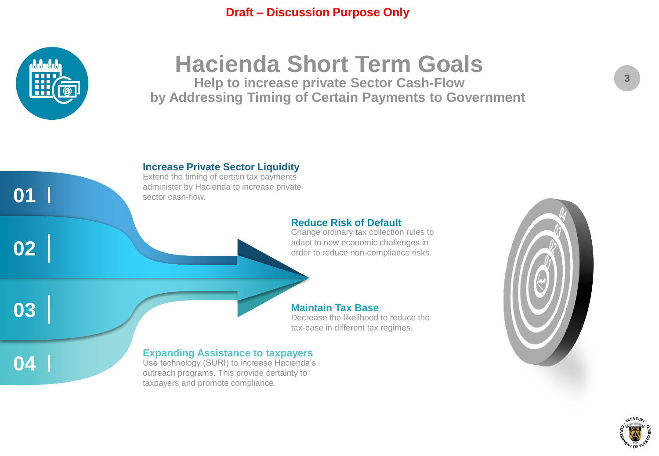

# **Hacienda Short Term Goals**

**Help to increase private Sector Cash-Flow by Addressing Timing of Certain Payments to Government** 





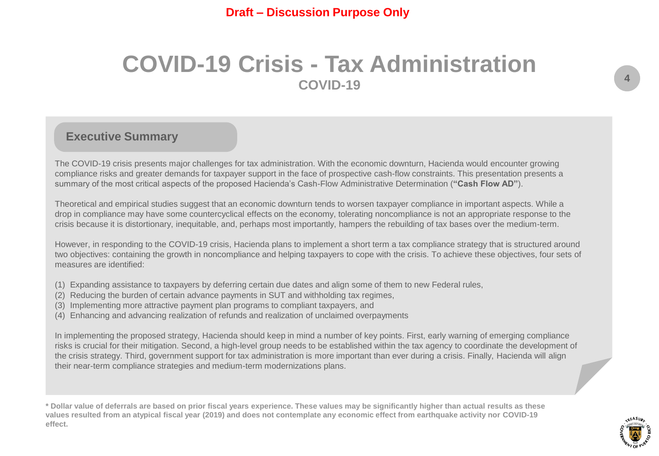## **COVID-19 Crisis - Tax Administration COVID-19**

## **Executive Summary**

The COVID-19 crisis presents major challenges for tax administration. With the economic downturn, Hacienda would encounter growing compliance risks and greater demands for taxpayer support in the face of prospective cash-flow constraints. This presentation presents a summary of the most critical aspects of the proposed Hacienda's Cash-Flow Administrative Determination (**"Cash Flow AD"**).

Theoretical and empirical studies suggest that an economic downturn tends to worsen taxpayer compliance in important aspects. While a drop in compliance may have some countercyclical effects on the economy, tolerating noncompliance is not an appropriate response to the crisis because it is distortionary, inequitable, and, perhaps most importantly, hampers the rebuilding of tax bases over the medium-term.

However, in responding to the COVID-19 crisis, Hacienda plans to implement a short term a tax compliance strategy that is structured around two objectives: containing the growth in noncompliance and helping taxpayers to cope with the crisis. To achieve these objectives, four sets of measures are identified:

- (1) Expanding assistance to taxpayers by deferring certain due dates and align some of them to new Federal rules,
- (2) Reducing the burden of certain advance payments in SUT and withholding tax regimes,
- (3) Implementing more attractive payment plan programs to compliant taxpayers, and
- (4) Enhancing and advancing realization of refunds and realization of unclaimed overpayments

In implementing the proposed strategy, Hacienda should keep in mind a number of key points. First, early warning of emerging compliance risks is crucial for their mitigation. Second, a high-level group needs to be established within the tax agency to coordinate the development of the crisis strategy. Third, government support for tax administration is more important than ever during a crisis. Finally, Hacienda will align their near-term compliance strategies and medium-term modernizations plans.

**\* Dollar value of deferrals are based on prior fiscal years experience. These values may be significantly higher than actual results as these values resulted from an atypical fiscal year (2019) and does not contemplate any economic effect from earthquake activity nor COVID-19 effect.**

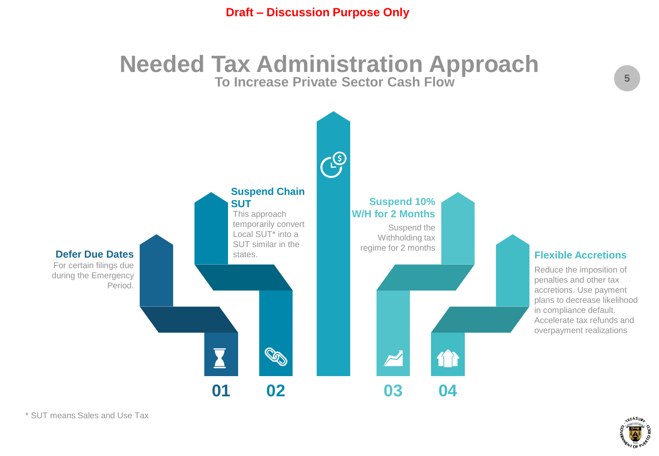## **Needed Tax Administration Approach To Increase Private Sector Cash Flow**



**5**

\* SUT means Sales and Use Tax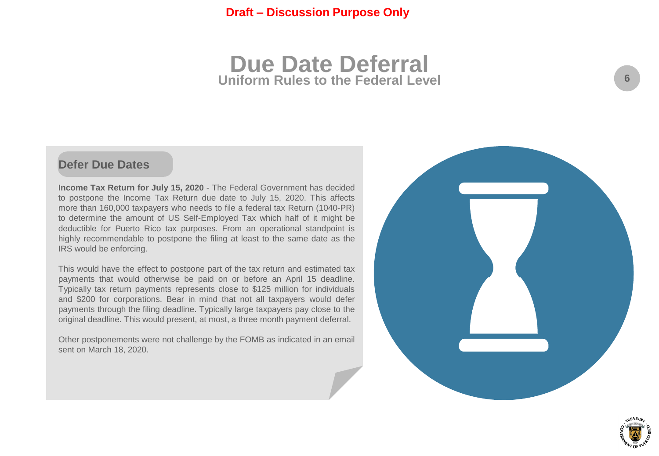## **Due Date Deferral Uniform Rules to the Federal Level**

## **Defer Due Dates**

**Income Tax Return for July 15, 2020** - The Federal Government has decided to postpone the Income Tax Return due date to July 15, 2020. This affects more than 160,000 taxpayers who needs to file a federal tax Return (1040-PR) to determine the amount of US Self-Employed Tax which half of it might be deductible for Puerto Rico tax purposes. From an operational standpoint is highly recommendable to postpone the filing at least to the same date as the IRS would be enforcing.

This would have the effect to postpone part of the tax return and estimated tax payments that would otherwise be paid on or before an April 15 deadline. Typically tax return payments represents close to \$125 million for individuals and \$200 for corporations. Bear in mind that not all taxpayers would defer payments through the filing deadline. Typically large taxpayers pay close to the original deadline. This would present, at most, a three month payment deferral.

Other postponements were not challenge by the FOMB as indicated in an email sent on March 18, 2020.



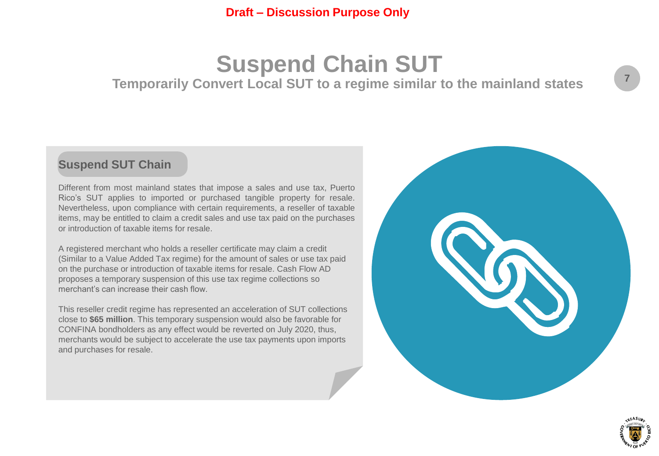## **Suspend Chain SUT Temporarily Convert Local SUT to a regime similar to the mainland states**

## **Suspend SUT Chain**

Different from most mainland states that impose a sales and use tax, Puerto Rico's SUT applies to imported or purchased tangible property for resale. Nevertheless, upon compliance with certain requirements, a reseller of taxable items, may be entitled to claim a credit sales and use tax paid on the purchases or introduction of taxable items for resale.

A registered merchant who holds a reseller certificate may claim a credit (Similar to a Value Added Tax regime) for the amount of sales or use tax paid on the purchase or introduction of taxable items for resale. Cash Flow AD proposes a temporary suspension of this use tax regime collections so merchant's can increase their cash flow.

This reseller credit regime has represented an acceleration of SUT collections close to **\$65 million**. This temporary suspension would also be favorable for CONFINA bondholders as any effect would be reverted on July 2020, thus, merchants would be subject to accelerate the use tax payments upon imports and purchases for resale.



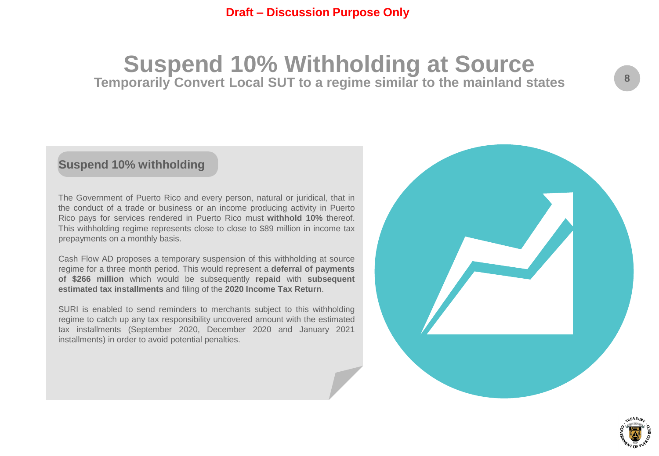## **Suspend 10% Withholding at Source Temporarily Convert Local SUT to a regime similar to the mainland states**

## **Suspend 10% withholding**

The Government of Puerto Rico and every person, natural or juridical, that in the conduct of a trade or business or an income producing activity in Puerto Rico pays for services rendered in Puerto Rico must **withhold 10%** thereof. This withholding regime represents close to close to \$89 million in income tax prepayments on a monthly basis.

Cash Flow AD proposes a temporary suspension of this withholding at source regime for a three month period. This would represent a **deferral of payments of \$266 million** which would be subsequently **repaid** with **subsequent estimated tax installments** and filing of the **2020 Income Tax Return**.

SURI is enabled to send reminders to merchants subject to this withholding regime to catch up any tax responsibility uncovered amount with the estimated tax installments (September 2020, December 2020 and January 2021 installments) in order to avoid potential penalties.



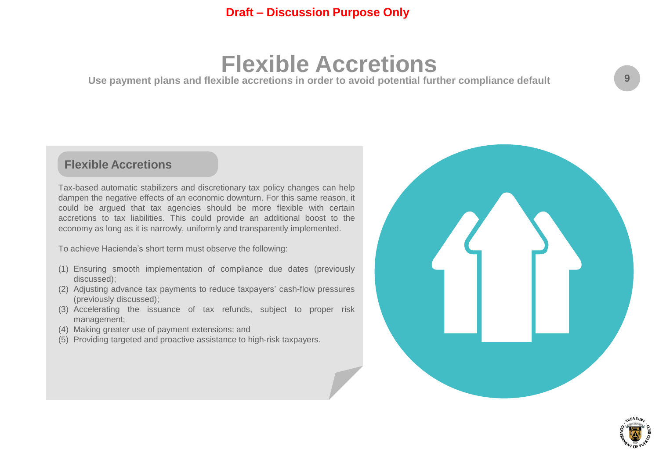## **Flexible Accretions**

**Use payment plans and flexible accretions in order to avoid potential further compliance default** 

## **Flexible Accretions**

Tax-based automatic stabilizers and discretionary tax policy changes can help dampen the negative effects of an economic downturn. For this same reason, it could be argued that tax agencies should be more flexible with certain accretions to tax liabilities. This could provide an additional boost to the economy as long as it is narrowly, uniformly and transparently implemented.

To achieve Hacienda's short term must observe the following:

- (1) Ensuring smooth implementation of compliance due dates (previously discussed);
- (2) Adjusting advance tax payments to reduce taxpayers' cash-flow pressures (previously discussed);
- (3) Accelerating the issuance of tax refunds, subject to proper risk management;
- (4) Making greater use of payment extensions; and
- (5) Providing targeted and proactive assistance to high-risk taxpayers.



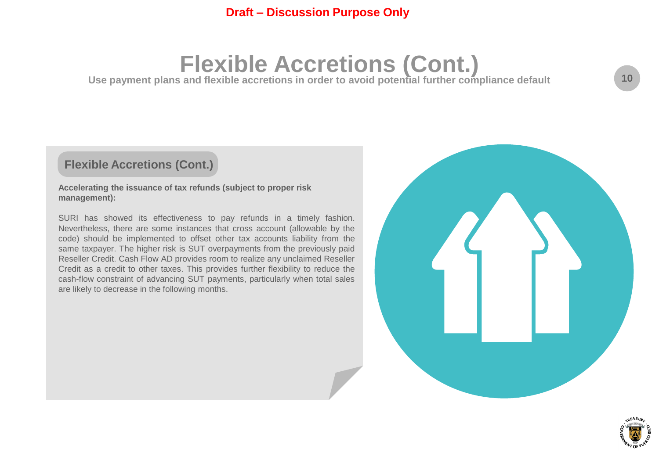## **Flexible Accretions (Cont.)**

Use payment plans and flexible accretions in order to avoid potential further compliance default

## **Flexible Accretions (Cont.)**

#### **Accelerating the issuance of tax refunds (subject to proper risk management):**

SURI has showed its effectiveness to pay refunds in a timely fashion. Nevertheless, there are some instances that cross account (allowable by the code) should be implemented to offset other tax accounts liability from the same taxpayer. The higher risk is SUT overpayments from the previously paid Reseller Credit. Cash Flow AD provides room to realize any unclaimed Reseller Credit as a credit to other taxes. This provides further flexibility to reduce the cash-flow constraint of advancing SUT payments, particularly when total sales are likely to decrease in the following months.



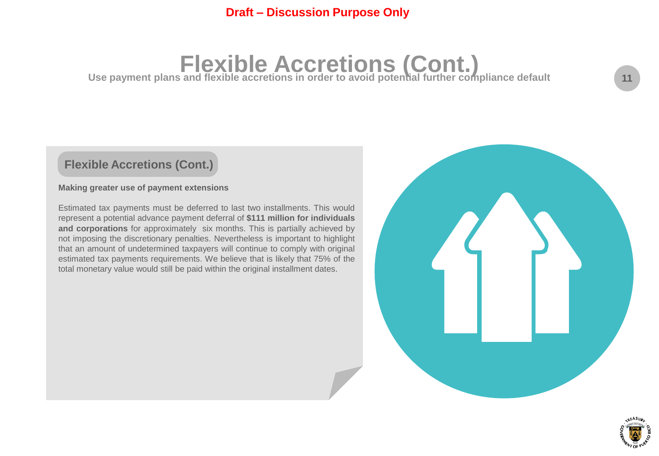# **Flexible Accretions (Cont.) Use payment plans and flexible accretions in order to avoid potential further compliance default**

## **Flexible Accretions (Cont.)**

#### **Making greater use of payment extensions**

Estimated tax payments must be deferred to last two installments. This would represent a potential advance payment deferral of **\$111 million for individuals and corporations** for approximately six months. This is partially achieved by not imposing the discretionary penalties. Nevertheless is important to highlight that an amount of undetermined taxpayers will continue to comply with original estimated tax payments requirements. We believe that is likely that 75% of the total monetary value would still be paid within the original installment dates.



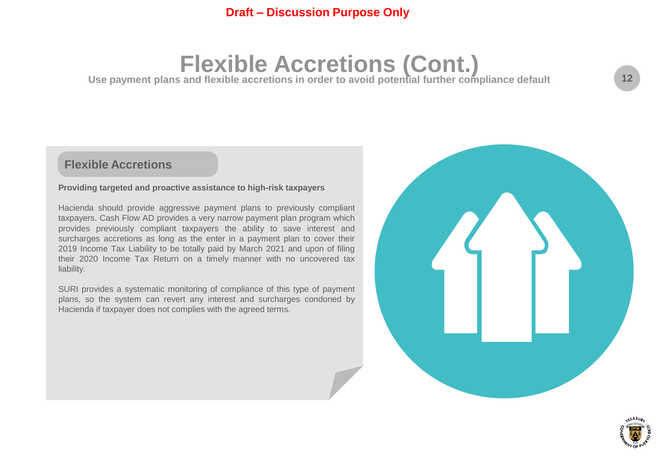## **Flexible Accretions (Cont.)**

Use payment plans and flexible accretions in order to avoid potential further compliance default

## **Flexible Accretions**

#### **Providing targeted and proactive assistance to high-risk taxpayers**

Hacienda should provide aggressive payment plans to previously compliant taxpayers. Cash Flow AD provides a very narrow payment plan program which provides previously compliant taxpayers the ability to save interest and surcharges accretions as long as the enter in a payment plan to cover their 2019 Income Tax Liability to be totally paid by March 2021 and upon of filing their 2020 Income Tax Return on a timely manner with no uncovered tax liability.

SURI provides a systematic monitoring of compliance of this type of payment plans, so the system can revert any interest and surcharges condoned by Hacienda if taxpayer does not complies with the agreed terms.



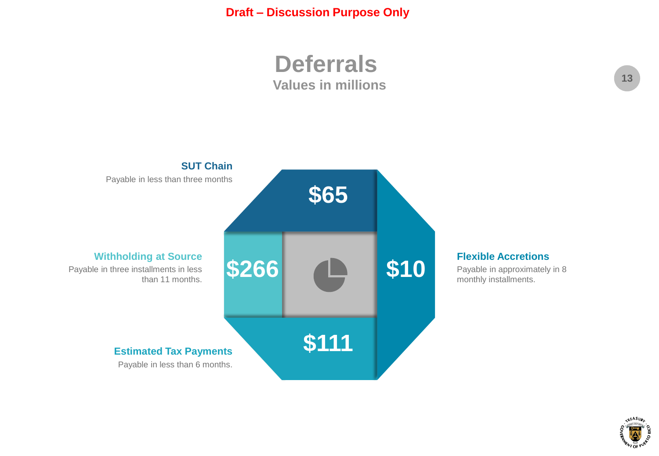**Deferrals Values in millions**



Payable in approximately in 8 monthly installments.

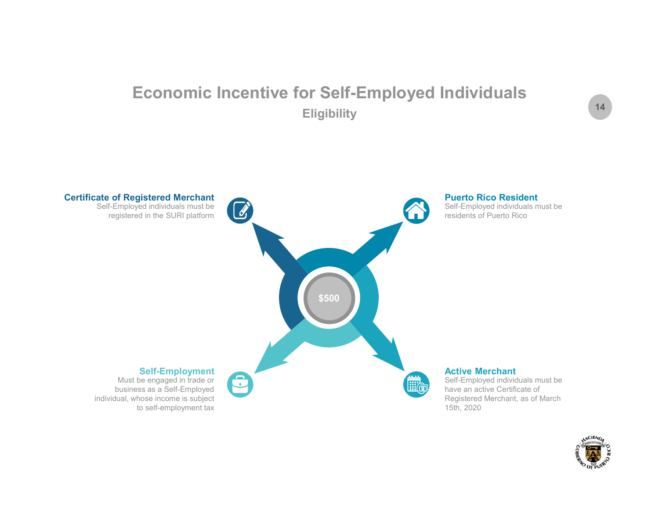## Economic Incentive for Self-Employed Individuals **Eligibility**



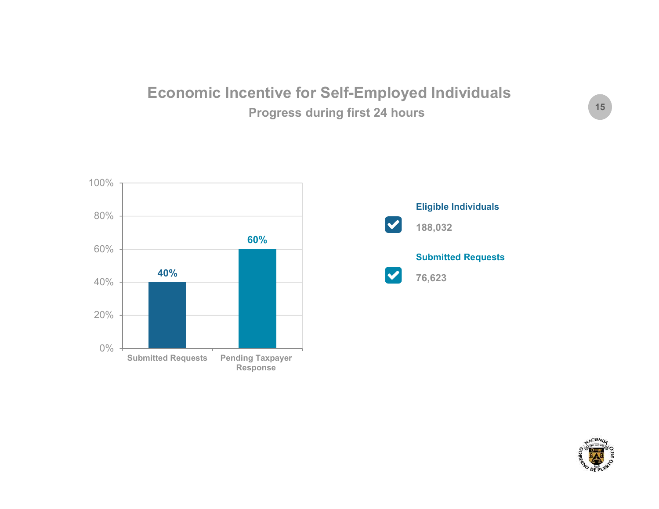## Economic Incentive for Self-Employed Individuals Progress during first 24 hours





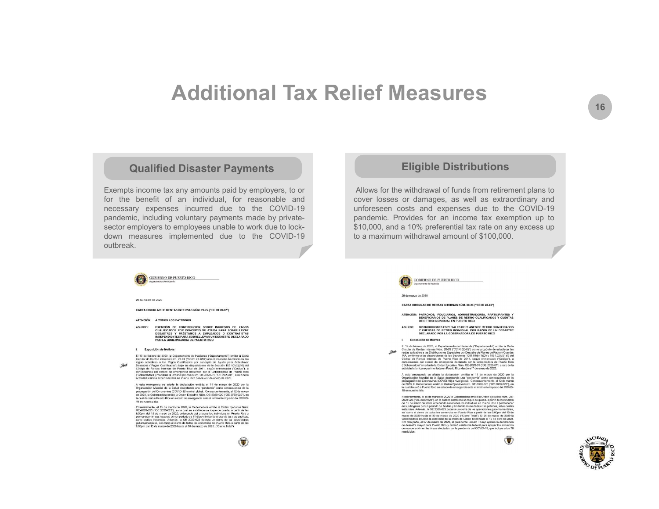## Additional Tax Relief Measures

#### Qualified Disaster Payments

 $\begin{tabular}{l|c|c|c|c|c} \hline \multicolumn{1}{c}{\textbf{Additional Tax Relief Measures}} \\ \hline \multicolumn{1}{c}{\textbf{Eigible Distributions}} \\ \hline \multicolumn{1}{c}{\textbf{Eigible Distributions}} \\ \hline \multicolumn{1}{c}{\textbf{Eigible Distributions}} \\ \hline \multicolumn{1}{c}{\textbf{Eigible Distributions}} \\ \hline \multicolumn{1}{c}{\textbf{Eigible Distributions}} \\ \hline \multicolumn{1}{c}{\textbf{Eigible Distributions}} \\ \hline \multicolumn{1}{c}{\textbf{Eigible Distributions}} \\ \hline \multicolumn{1}{c}{\textbf{$ **Additional Tax Relief Measures UPS**<br>
Rempts income tax any amounts paid by employers, to or<br>
Exempts income tax any amounts paid by employers, to or<br>
Exempts individual, for reasonable and<br>
for the benefit of an individu  $\begin{minipage}[t]{0.9\textwidth} \begin{tabular}{|c|c|c|c|} \hline \multicolumn{1}{|c|}{\textbf{Additional Tax} Relier Mecasures}\\ \hline \multicolumn{1}{|c|}{\textbf{Causure} B} & \multicolumn{1}{|c|}{\textbf{Eigible Distributions}}\\ \hline \multicolumn{1}{|c|}{\textbf{Eigible Distributions}} & \multicolumn{1}{|c|}{\textbf{Eigible Distributions}}\\ \hline \multicolumn{1}{|c|}{\textbf{Eingible Distributions}} & \multicolumn{1}{|c|}{\textbf{Eigible Distributions}}\\ \hline \multicolumn{1}{|c|}{\textbf$ **Additional Tax Relief Measures**<br>
Eligible Distributions<br>
Example income tax any amounts paid by employers, to or<br>
Eligible Distributions<br>
Example including voluntary and the property of the withdrawal of funds from retir Additional Tax Relief Measures<br>
unalified Disaster Payments<br>
Eligible Distributions<br>
Exempts income tax any amounts paid by employers, to or<br>
for the benefit of an individual, for reasonable and<br>
cover losses or damages, a **Additional Tax Relief Measures (Second)**<br> **Additional Tax Relief Measures (Second)**<br>
Exempts income tax any amounts paid by employers, to or<br>
for the benefit of an individual, for reasonable and<br>
for the benefit of an ind outbreak.



Posteriormente, el 15 de marzo de 2020, la Gobernadora emitió la Orden Ejecutiva Núm.<br>OE-2020-023 ("OE 2020-023"), en la cual se establece un toque de queda, a partir de las 2020-023" ("OE 2020-0<br>9:00pm del 15 de marzo de gubarnamentales, así como el cierre de todos los comercios en Puerto Rico a partir de las<br>6:00pm del 15 de marzo de 2020 hasta el 30 de marzo de 2020. ("Cierre Total").

#### $\sqrt{2}$

#### Eligible Distributions

**CONTRIG STATE STATE OF STATE OF STATE OF STATE OF STATE OF STATE AND ANOTATE AND ANOTHER STATE OF STATE AND APPLY AND APPLY AND APPLY AND APPLY AND APPLY APPLY APPLY APPLY APPLY APPLY APPLY APPLY APPLY APPLY APPLY APPLY A COVERTS COVERTS COVER COVER 16 ANDEX**<br> **COVERTS COVERTS COVER COVER COVER**<br>
Allows for the withdrawal of funds from retirement plans to<br>
cover losses or damages, as well as extraordinary and<br>
pandemic. Provides for an inc **if the COVID-19**<br> **unformally constrained**<br> **Eligible Distributions**<br>
Allows for the withdrawal of funds from retirement plans to<br>
cover losses or damages, as well as extraordinary and<br>
pandemic. Provides for an icone tax **Solution School School School School School School School School School School School School School School School School School School School School School School School School School School School School School School Sc** \$10,000, and a 10% preferential tax rate on any excess up **CONSCREDING MANUTES AND AND SET AND SET AND ANOTABATION AND ANOTHER AMONG THE SUPPORT ISSOCRED TO A MORE AMOUNT OF SUPPORT OF SUPPORT AND SUPPORT OF SUPPORT OF SUPPORT OF SUPPORT OF SUPPORT OF SUPPORT OF SUPPORT OF SUPPOR** 



#### 29 de marzo de 2020

CARTA CIRCULAR DE RENTAS INTERNAS NÚM. 20-23 ("CC RI 20-23")

ATENCIÓN: PATRONOS, FIDUCIARIOS, ADMINISTRADORES, PARTICIPANTES Y<br>BENEFICIARIOS DE PLANES DE RETIRO CUALIFICADOS Y CUENTAS<br>DE RETIRO INDIVIDUAL EN PUERTO RICO

ASUNTO: DISTRIBUCIONES ESPECIALES DE PLANES DE RETIRO CUALIFICADOS<br>Y CUENTAS DE RETIRO INDIVIDUAL POR RAZÓN DE UN DESASTRE<br>DECLARADO POR LA GOBERNADORA DE PUERTO RICO

I. Exposición de Motivos

El 19 de febrero de 2020, el Departamento de Hacienda ("Departamento") emitió la Carta ("Le Circular" de Meria Internació Viene de Meria ("Le Circular" de Meria ("Le Circular" de Meria ("Le Circular" de Meria ("Le Circula Hot

A esta emergencia se añade la declaración emilida el 11 de marzo de 2020 por la propriacción Mardal de la Salud Bereatance una "partecipa" con exempe de la Salud Bereatance<br>de 2020, la Gobernatora emilió la Orientaria una

Posteriormente, el 15 de marzo de 2020 la Gobernadora emitió la Orden Ejecutiva Núm. OE-<br>2020-023 ("OE 2020-023"), en la cual se establece un toque de queda, a partir de las 9:00pm<br>del 15 de marzo de 2020, ordenando así a en sus hogares por un periodo de 14 días y limitanto el uso de las vias públicas, salvo ciertas instanciais. Además, la OE 2020-203 decreta un cierre de las operaciones quiernamentales, si<br>con el cierre de las decretas de



ANCIEND